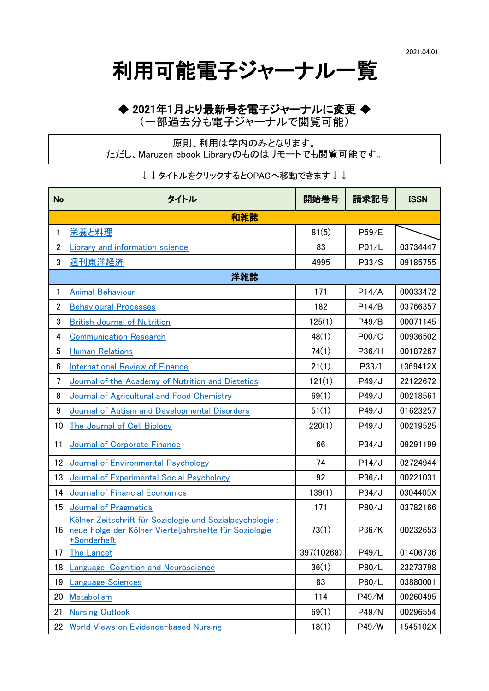利用可能電子ジャーナル一覧

## ◆ 2021年1月より最新号を電子ジャーナルに変更 ◆

(一部過去分も電子ジャーナルで閲覧可能)

原則、利用は学内のみとなります。 ただし、Maruzen ebook Libraryのものはリモートでも閲覧可能です。

↓↓タイトルをクリックするとOPACへ移動できます↓↓

| <b>No</b>      | タイトル                                                                                                                              | 開始巻号       | 請求記号  | <b>ISSN</b> |  |  |  |
|----------------|-----------------------------------------------------------------------------------------------------------------------------------|------------|-------|-------------|--|--|--|
|                | 和雑誌                                                                                                                               |            |       |             |  |  |  |
| 1              | 栄養と料理                                                                                                                             | 81(5)      | P59/E |             |  |  |  |
| $\overline{2}$ | Library and information science                                                                                                   | 83         | P01/L | 03734447    |  |  |  |
| 3              | <u>週刊東洋経済</u>                                                                                                                     | 4995       | P33/S | 09185755    |  |  |  |
| 洋雑誌            |                                                                                                                                   |            |       |             |  |  |  |
| 1              | <u>Animal Behaviour</u>                                                                                                           | 171        | P14/A | 00033472    |  |  |  |
| $\overline{2}$ | <b>Behavioural Processes</b>                                                                                                      | 182        | P14/B | 03766357    |  |  |  |
| 3              | <b>British Journal of Nutrition</b>                                                                                               | 125(1)     | P49/B | 00071145    |  |  |  |
| 4              | <b>Communication Research</b>                                                                                                     | 48(1)      | P00/C | 00936502    |  |  |  |
| 5              | <b>Human Relations</b>                                                                                                            | 74(1)      | P36/H | 00187267    |  |  |  |
| 6              | <b>International Review of Finance</b>                                                                                            | 21(1)      | P33/I | 1369412X    |  |  |  |
| 7              | Journal of the Academy of Nutrition and Dietetics                                                                                 | 121(1)     | P49/J | 22122672    |  |  |  |
| 8              | Journal of Agricultural and Food Chemistry                                                                                        | 69(1)      | P49/J | 00218561    |  |  |  |
| 9              | Journal of Autism and Developmental Disorders                                                                                     | 51(1)      | P49/J | 01623257    |  |  |  |
| 10             | <b>The Journal of Cell Biology</b>                                                                                                | 220(1)     | P49/J | 00219525    |  |  |  |
| 11             | Journal of Corporate Finance                                                                                                      | 66         | P34/J | 09291199    |  |  |  |
| 12             | Journal of Environmental Psychology                                                                                               | 74         | P14/J | 02724944    |  |  |  |
| 13             | Journal of Experimental Social Psychology                                                                                         | 92         | P36/J | 00221031    |  |  |  |
| 14             | <b>Journal of Financial Economics</b>                                                                                             | 139(1)     | P34/J | 0304405X    |  |  |  |
| 15             | <b>Journal of Pragmatics</b>                                                                                                      | 171        | P80/J | 03782166    |  |  |  |
| 16             | Kölner Zeitschrift für Soziologie und Sozialpsychologie:<br>neue Folge der Kölner Vierteljahrshefte für Soziologie<br>+Sonderheft | 73(1)      | P36/K | 00232653    |  |  |  |
| 17             | <b>The Lancet</b>                                                                                                                 | 397(10268) | P49/L | 01406736    |  |  |  |
| 18             | Language, Cognition and Neuroscience                                                                                              | 36(1)      | P80/L | 23273798    |  |  |  |
| 19             | <u>Language Sciences</u>                                                                                                          | 83         | P80/L | 03880001    |  |  |  |
| 20             | Metabolism                                                                                                                        | 114        | P49/M | 00260495    |  |  |  |
| 21             | <b>Nursing Outlook</b>                                                                                                            | 69(1)      | P49/N | 00296554    |  |  |  |
| 22             | <b>World Views on Evidence-based Nursing</b>                                                                                      | 18(1)      | P49/W | 1545102X    |  |  |  |